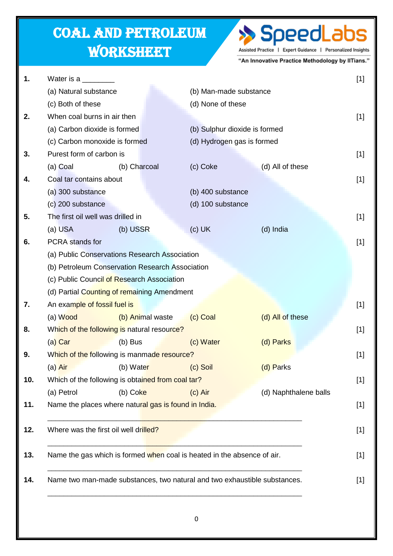## Coal and Petroleum **WORKSHEET**

## >> SpeedLabs Assisted Practice | Expert Guidance | Personalized Insights

"An Innovative Practice Methodology by IITians."

| (a) Natural substance<br>(b) Man-made substance<br>(c) Both of these<br>(d) None of these<br>When coal burns in air then<br>(a) Carbon dioxide is formed<br>(b) Sulphur dioxide is formed<br>(c) Carbon monoxide is formed<br>(d) Hydrogen gas is formed<br>Purest form of carbon is<br>(a) Coal<br>(d) All of these<br>(b) Charcoal<br>(c) Coke<br>Coal tar contains about<br>(a) 300 substance<br>(b) 400 substance<br>(c) 200 substance<br>(d) 100 substance<br>The first oil well was drilled in<br>(a) USA<br>(b) USSR<br>$(c)$ UK<br>(d) India<br><b>PCRA</b> stands for<br>(a) Public Conservations Research Association<br>(b) Petroleum Conservation Research Association<br>(c) Public Council of Research Association<br>(d) Partial Counting of remaining Amendment<br>An example of fossil fuel is<br>(a) Wood<br>(c) Coal<br>(d) All of these<br>(b) Animal waste<br>Which of the following is natural resource?<br>(c) Water<br>(d) Parks<br>(a) Car<br>$(b)$ Bus<br>Which of the following is manmade resource?<br>(b) Water<br>(d) Parks<br>(a) Air<br>(c) Soil<br>Which of the following is obtained from coal tar?<br>(a) Petrol<br>$(c)$ Air<br>(d) Naphthalene balls<br>$(b)$ Coke<br>Name the places where natural gas is found in India.<br>Where was the first oil well drilled?<br>Name the gas which is formed when coal is heated in the absence of air. |                                                                           |
|-------------------------------------------------------------------------------------------------------------------------------------------------------------------------------------------------------------------------------------------------------------------------------------------------------------------------------------------------------------------------------------------------------------------------------------------------------------------------------------------------------------------------------------------------------------------------------------------------------------------------------------------------------------------------------------------------------------------------------------------------------------------------------------------------------------------------------------------------------------------------------------------------------------------------------------------------------------------------------------------------------------------------------------------------------------------------------------------------------------------------------------------------------------------------------------------------------------------------------------------------------------------------------------------------------------------------------------------------------------------------------------|---------------------------------------------------------------------------|
|                                                                                                                                                                                                                                                                                                                                                                                                                                                                                                                                                                                                                                                                                                                                                                                                                                                                                                                                                                                                                                                                                                                                                                                                                                                                                                                                                                                     |                                                                           |
|                                                                                                                                                                                                                                                                                                                                                                                                                                                                                                                                                                                                                                                                                                                                                                                                                                                                                                                                                                                                                                                                                                                                                                                                                                                                                                                                                                                     |                                                                           |
|                                                                                                                                                                                                                                                                                                                                                                                                                                                                                                                                                                                                                                                                                                                                                                                                                                                                                                                                                                                                                                                                                                                                                                                                                                                                                                                                                                                     |                                                                           |
|                                                                                                                                                                                                                                                                                                                                                                                                                                                                                                                                                                                                                                                                                                                                                                                                                                                                                                                                                                                                                                                                                                                                                                                                                                                                                                                                                                                     |                                                                           |
|                                                                                                                                                                                                                                                                                                                                                                                                                                                                                                                                                                                                                                                                                                                                                                                                                                                                                                                                                                                                                                                                                                                                                                                                                                                                                                                                                                                     |                                                                           |
|                                                                                                                                                                                                                                                                                                                                                                                                                                                                                                                                                                                                                                                                                                                                                                                                                                                                                                                                                                                                                                                                                                                                                                                                                                                                                                                                                                                     |                                                                           |
|                                                                                                                                                                                                                                                                                                                                                                                                                                                                                                                                                                                                                                                                                                                                                                                                                                                                                                                                                                                                                                                                                                                                                                                                                                                                                                                                                                                     |                                                                           |
|                                                                                                                                                                                                                                                                                                                                                                                                                                                                                                                                                                                                                                                                                                                                                                                                                                                                                                                                                                                                                                                                                                                                                                                                                                                                                                                                                                                     |                                                                           |
|                                                                                                                                                                                                                                                                                                                                                                                                                                                                                                                                                                                                                                                                                                                                                                                                                                                                                                                                                                                                                                                                                                                                                                                                                                                                                                                                                                                     |                                                                           |
|                                                                                                                                                                                                                                                                                                                                                                                                                                                                                                                                                                                                                                                                                                                                                                                                                                                                                                                                                                                                                                                                                                                                                                                                                                                                                                                                                                                     |                                                                           |
|                                                                                                                                                                                                                                                                                                                                                                                                                                                                                                                                                                                                                                                                                                                                                                                                                                                                                                                                                                                                                                                                                                                                                                                                                                                                                                                                                                                     |                                                                           |
|                                                                                                                                                                                                                                                                                                                                                                                                                                                                                                                                                                                                                                                                                                                                                                                                                                                                                                                                                                                                                                                                                                                                                                                                                                                                                                                                                                                     |                                                                           |
|                                                                                                                                                                                                                                                                                                                                                                                                                                                                                                                                                                                                                                                                                                                                                                                                                                                                                                                                                                                                                                                                                                                                                                                                                                                                                                                                                                                     |                                                                           |
|                                                                                                                                                                                                                                                                                                                                                                                                                                                                                                                                                                                                                                                                                                                                                                                                                                                                                                                                                                                                                                                                                                                                                                                                                                                                                                                                                                                     |                                                                           |
|                                                                                                                                                                                                                                                                                                                                                                                                                                                                                                                                                                                                                                                                                                                                                                                                                                                                                                                                                                                                                                                                                                                                                                                                                                                                                                                                                                                     |                                                                           |
|                                                                                                                                                                                                                                                                                                                                                                                                                                                                                                                                                                                                                                                                                                                                                                                                                                                                                                                                                                                                                                                                                                                                                                                                                                                                                                                                                                                     |                                                                           |
|                                                                                                                                                                                                                                                                                                                                                                                                                                                                                                                                                                                                                                                                                                                                                                                                                                                                                                                                                                                                                                                                                                                                                                                                                                                                                                                                                                                     |                                                                           |
|                                                                                                                                                                                                                                                                                                                                                                                                                                                                                                                                                                                                                                                                                                                                                                                                                                                                                                                                                                                                                                                                                                                                                                                                                                                                                                                                                                                     |                                                                           |
|                                                                                                                                                                                                                                                                                                                                                                                                                                                                                                                                                                                                                                                                                                                                                                                                                                                                                                                                                                                                                                                                                                                                                                                                                                                                                                                                                                                     |                                                                           |
|                                                                                                                                                                                                                                                                                                                                                                                                                                                                                                                                                                                                                                                                                                                                                                                                                                                                                                                                                                                                                                                                                                                                                                                                                                                                                                                                                                                     |                                                                           |
|                                                                                                                                                                                                                                                                                                                                                                                                                                                                                                                                                                                                                                                                                                                                                                                                                                                                                                                                                                                                                                                                                                                                                                                                                                                                                                                                                                                     |                                                                           |
|                                                                                                                                                                                                                                                                                                                                                                                                                                                                                                                                                                                                                                                                                                                                                                                                                                                                                                                                                                                                                                                                                                                                                                                                                                                                                                                                                                                     |                                                                           |
|                                                                                                                                                                                                                                                                                                                                                                                                                                                                                                                                                                                                                                                                                                                                                                                                                                                                                                                                                                                                                                                                                                                                                                                                                                                                                                                                                                                     |                                                                           |
|                                                                                                                                                                                                                                                                                                                                                                                                                                                                                                                                                                                                                                                                                                                                                                                                                                                                                                                                                                                                                                                                                                                                                                                                                                                                                                                                                                                     |                                                                           |
|                                                                                                                                                                                                                                                                                                                                                                                                                                                                                                                                                                                                                                                                                                                                                                                                                                                                                                                                                                                                                                                                                                                                                                                                                                                                                                                                                                                     |                                                                           |
|                                                                                                                                                                                                                                                                                                                                                                                                                                                                                                                                                                                                                                                                                                                                                                                                                                                                                                                                                                                                                                                                                                                                                                                                                                                                                                                                                                                     |                                                                           |
|                                                                                                                                                                                                                                                                                                                                                                                                                                                                                                                                                                                                                                                                                                                                                                                                                                                                                                                                                                                                                                                                                                                                                                                                                                                                                                                                                                                     |                                                                           |
|                                                                                                                                                                                                                                                                                                                                                                                                                                                                                                                                                                                                                                                                                                                                                                                                                                                                                                                                                                                                                                                                                                                                                                                                                                                                                                                                                                                     |                                                                           |
|                                                                                                                                                                                                                                                                                                                                                                                                                                                                                                                                                                                                                                                                                                                                                                                                                                                                                                                                                                                                                                                                                                                                                                                                                                                                                                                                                                                     | Name two man-made substances, two natural and two exhaustible substances. |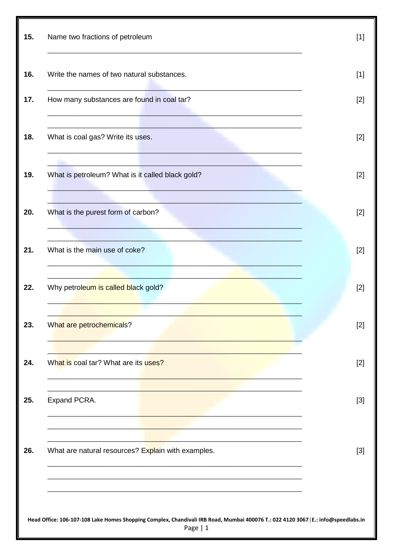| 15. | Name two fractions of petroleum                                                                                                                | $[1]$ |
|-----|------------------------------------------------------------------------------------------------------------------------------------------------|-------|
| 16. | Write the names of two natural substances.                                                                                                     | $[1]$ |
| 17. | How many substances are found in coal tar?                                                                                                     | $[2]$ |
| 18. | What is coal gas? Write its uses.                                                                                                              | $[2]$ |
| 19. | What is petroleum? What is it called black gold?                                                                                               | $[2]$ |
| 20. | What is the purest form of carbon?                                                                                                             | $[2]$ |
| 21. | What is the main use of coke?                                                                                                                  | $[2]$ |
| 22. | Why petroleum is called black gold?                                                                                                            | $[2]$ |
| 23. | What are petrochemicals?                                                                                                                       | $[2]$ |
| 24. | What is coal tar? What are its uses?                                                                                                           | $[2]$ |
| 25. | Expand PCRA.                                                                                                                                   | $[3]$ |
| 26. | What are natural resources? Explain with examples.                                                                                             | $[3]$ |
|     |                                                                                                                                                |       |
|     | Head Office: 106-107-108 Lake Homes Shopping Complex, Chandivali IRB Road, Mumbai 400076 T.: 022 4120 3067   E.: info@speedlabs.in<br>Page   1 |       |